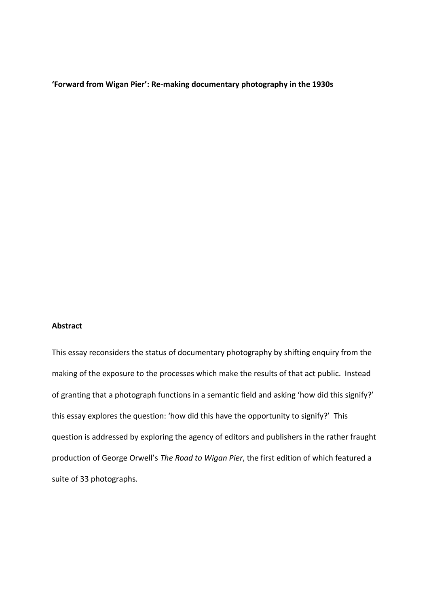# **'Forward from Wigan Pier': Re-making documentary photography in the 1930s**

# **Abstract**

This essay reconsiders the status of documentary photography by shifting enquiry from the making of the exposure to the processes which make the results of that act public. Instead of granting that a photograph functions in a semantic field and asking 'how did this signify?' this essay explores the question: 'how did this have the opportunity to signify?' This question is addressed by exploring the agency of editors and publishers in the rather fraught production of George Orwell's *The Road to Wigan Pier*, the first edition of which featured a suite of 33 photographs.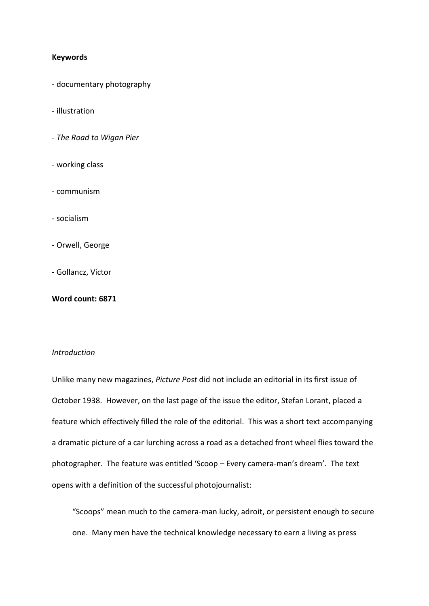## **Keywords**

- documentary photography
- illustration
- *The Road to Wigan Pier*
- working class
- communism
- socialism
- Orwell, George
- Gollancz, Victor

**Word count: 6871**

## *Introduction*

Unlike many new magazines, *Picture Post* did not include an editorial in its first issue of October 1938. However, on the last page of the issue the editor, Stefan Lorant, placed a feature which effectively filled the role of the editorial. This was a short text accompanying a dramatic picture of a car lurching across a road as a detached front wheel flies toward the photographer. The feature was entitled 'Scoop – Every camera-man's dream'. The text opens with a definition of the successful photojournalist:

"Scoops" mean much to the camera-man lucky, adroit, or persistent enough to secure one. Many men have the technical knowledge necessary to earn a living as press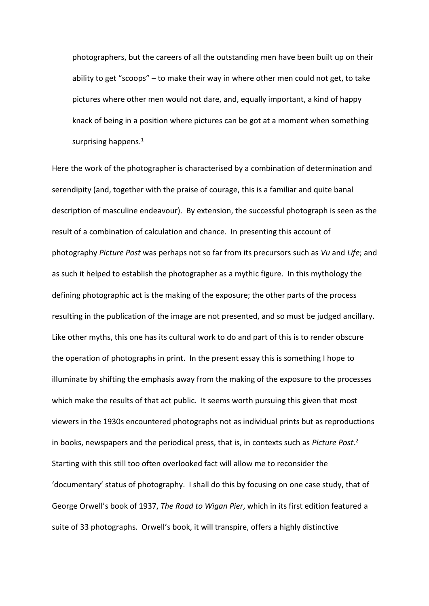photographers, but the careers of all the outstanding men have been built up on their ability to get "scoops" – to make their way in where other men could not get, to take pictures where other men would not dare, and, equally important, a kind of happy knack of being in a position where pictures can be got at a moment when something surprising happens.<sup>1</sup>

Here the work of the photographer is characterised by a combination of determination and serendipity (and, together with the praise of courage, this is a familiar and quite banal description of masculine endeavour). By extension, the successful photograph is seen as the result of a combination of calculation and chance. In presenting this account of photography *Picture Post* was perhaps not so far from its precursors such as *Vu* and *Life*; and as such it helped to establish the photographer as a mythic figure. In this mythology the defining photographic act is the making of the exposure; the other parts of the process resulting in the publication of the image are not presented, and so must be judged ancillary. Like other myths, this one has its cultural work to do and part of this is to render obscure the operation of photographs in print. In the present essay this is something I hope to illuminate by shifting the emphasis away from the making of the exposure to the processes which make the results of that act public. It seems worth pursuing this given that most viewers in the 1930s encountered photographs not as individual prints but as reproductions in books, newspapers and the periodical press, that is, in contexts such as *Picture Post*. 2 Starting with this still too often overlooked fact will allow me to reconsider the 'documentary' status of photography. I shall do this by focusing on one case study, that of George Orwell's book of 1937, *The Road to Wigan Pier*, which in its first edition featured a suite of 33 photographs. Orwell's book, it will transpire, offers a highly distinctive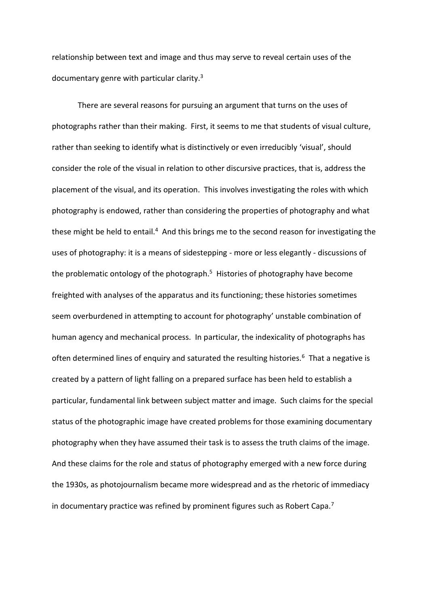relationship between text and image and thus may serve to reveal certain uses of the documentary genre with particular clarity.<sup>3</sup>

There are several reasons for pursuing an argument that turns on the uses of photographs rather than their making. First, it seems to me that students of visual culture, rather than seeking to identify what is distinctively or even irreducibly 'visual', should consider the role of the visual in relation to other discursive practices, that is, address the placement of the visual, and its operation. This involves investigating the roles with which photography is endowed, rather than considering the properties of photography and what these might be held to entail.<sup>4</sup> And this brings me to the second reason for investigating the uses of photography: it is a means of sidestepping - more or less elegantly - discussions of the problematic ontology of the photograph.<sup>5</sup> Histories of photography have become freighted with analyses of the apparatus and its functioning; these histories sometimes seem overburdened in attempting to account for photography' unstable combination of human agency and mechanical process. In particular, the indexicality of photographs has often determined lines of enquiry and saturated the resulting histories.<sup>6</sup> That a negative is created by a pattern of light falling on a prepared surface has been held to establish a particular, fundamental link between subject matter and image. Such claims for the special status of the photographic image have created problems for those examining documentary photography when they have assumed their task is to assess the truth claims of the image. And these claims for the role and status of photography emerged with a new force during the 1930s, as photojournalism became more widespread and as the rhetoric of immediacy in documentary practice was refined by prominent figures such as Robert Capa.7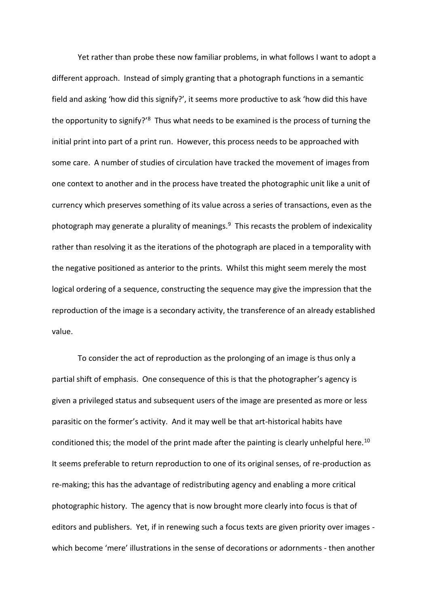Yet rather than probe these now familiar problems, in what follows I want to adopt a different approach. Instead of simply granting that a photograph functions in a semantic field and asking 'how did this signify?', it seems more productive to ask 'how did this have the opportunity to signify?'<sup>8</sup> Thus what needs to be examined is the process of turning the initial print into part of a print run. However, this process needs to be approached with some care. A number of studies of circulation have tracked the movement of images from one context to another and in the process have treated the photographic unit like a unit of currency which preserves something of its value across a series of transactions, even as the photograph may generate a plurality of meanings.<sup>9</sup> This recasts the problem of indexicality rather than resolving it as the iterations of the photograph are placed in a temporality with the negative positioned as anterior to the prints. Whilst this might seem merely the most logical ordering of a sequence, constructing the sequence may give the impression that the reproduction of the image is a secondary activity, the transference of an already established value.

To consider the act of reproduction as the prolonging of an image is thus only a partial shift of emphasis. One consequence of this is that the photographer's agency is given a privileged status and subsequent users of the image are presented as more or less parasitic on the former's activity. And it may well be that art-historical habits have conditioned this; the model of the print made after the painting is clearly unhelpful here.<sup>10</sup> It seems preferable to return reproduction to one of its original senses, of re-production as re-making; this has the advantage of redistributing agency and enabling a more critical photographic history. The agency that is now brought more clearly into focus is that of editors and publishers. Yet, if in renewing such a focus texts are given priority over images which become 'mere' illustrations in the sense of decorations or adornments - then another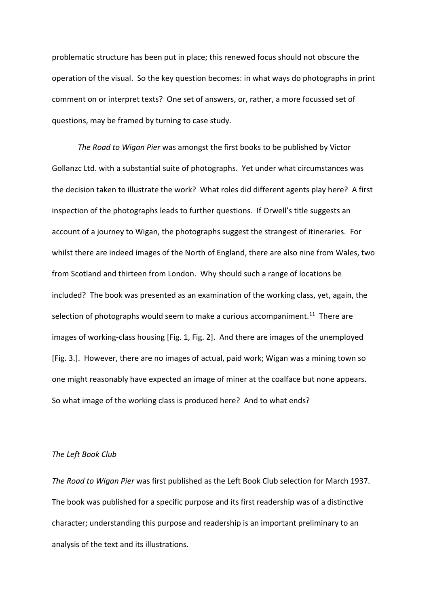problematic structure has been put in place; this renewed focus should not obscure the operation of the visual. So the key question becomes: in what ways do photographs in print comment on or interpret texts? One set of answers, or, rather, a more focussed set of questions, may be framed by turning to case study.

*The Road to Wigan Pier* was amongst the first books to be published by Victor Gollanzc Ltd. with a substantial suite of photographs. Yet under what circumstances was the decision taken to illustrate the work? What roles did different agents play here? A first inspection of the photographs leads to further questions. If Orwell's title suggests an account of a journey to Wigan, the photographs suggest the strangest of itineraries. For whilst there are indeed images of the North of England, there are also nine from Wales, two from Scotland and thirteen from London. Why should such a range of locations be included? The book was presented as an examination of the working class, yet, again, the selection of photographs would seem to make a curious accompaniment.<sup>11</sup> There are images of working-class housing [Fig. 1, Fig. 2]. And there are images of the unemployed [Fig. 3.]. However, there are no images of actual, paid work; Wigan was a mining town so one might reasonably have expected an image of miner at the coalface but none appears. So what image of the working class is produced here? And to what ends?

### *The Left Book Club*

*The Road to Wigan Pier* was first published as the Left Book Club selection for March 1937. The book was published for a specific purpose and its first readership was of a distinctive character; understanding this purpose and readership is an important preliminary to an analysis of the text and its illustrations.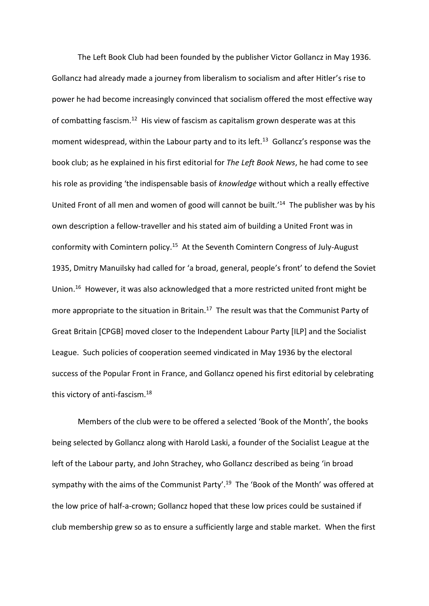The Left Book Club had been founded by the publisher Victor Gollancz in May 1936. Gollancz had already made a journey from liberalism to socialism and after Hitler's rise to power he had become increasingly convinced that socialism offered the most effective way of combatting fascism.<sup>12</sup> His view of fascism as capitalism grown desperate was at this moment widespread, within the Labour party and to its left.<sup>13</sup> Gollancz's response was the book club; as he explained in his first editorial for *The Left Book News*, he had come to see his role as providing 'the indispensable basis of *knowledge* without which a really effective United Front of all men and women of good will cannot be built.<sup>'14</sup> The publisher was by his own description a fellow-traveller and his stated aim of building a United Front was in conformity with Comintern policy.<sup>15</sup> At the Seventh Comintern Congress of July-August 1935, Dmitry Manuilsky had called for 'a broad, general, people's front' to defend the Soviet Union.<sup>16</sup> However, it was also acknowledged that a more restricted united front might be more appropriate to the situation in Britain.<sup>17</sup> The result was that the Communist Party of Great Britain [CPGB] moved closer to the Independent Labour Party [ILP] and the Socialist League. Such policies of cooperation seemed vindicated in May 1936 by the electoral success of the Popular Front in France, and Gollancz opened his first editorial by celebrating this victory of anti-fascism.<sup>18</sup>

Members of the club were to be offered a selected 'Book of the Month', the books being selected by Gollancz along with Harold Laski, a founder of the Socialist League at the left of the Labour party, and John Strachey, who Gollancz described as being 'in broad sympathy with the aims of the Communist Party'.<sup>19</sup> The 'Book of the Month' was offered at the low price of half-a-crown; Gollancz hoped that these low prices could be sustained if club membership grew so as to ensure a sufficiently large and stable market. When the first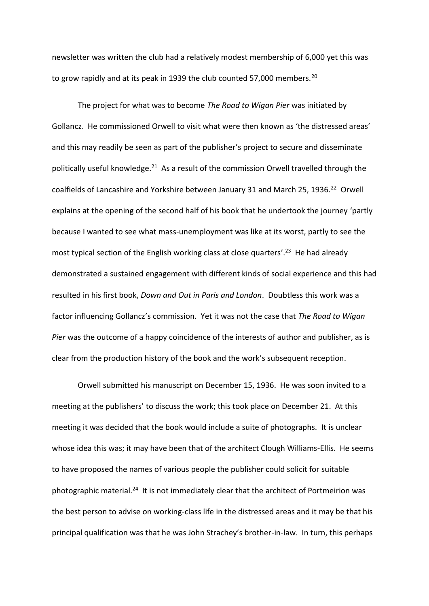newsletter was written the club had a relatively modest membership of 6,000 yet this was to grow rapidly and at its peak in 1939 the club counted 57,000 members.<sup>20</sup>

The project for what was to become *The Road to Wigan Pier* was initiated by Gollancz. He commissioned Orwell to visit what were then known as 'the distressed areas' and this may readily be seen as part of the publisher's project to secure and disseminate politically useful knowledge.<sup>21</sup> As a result of the commission Orwell travelled through the coalfields of Lancashire and Yorkshire between January 31 and March 25, 1936.<sup>22</sup> Orwell explains at the opening of the second half of his book that he undertook the journey 'partly because I wanted to see what mass-unemployment was like at its worst, partly to see the most typical section of the English working class at close quarters'.<sup>23</sup> He had already demonstrated a sustained engagement with different kinds of social experience and this had resulted in his first book, *Down and Out in Paris and London*. Doubtless this work was a factor influencing Gollancz's commission. Yet it was not the case that *The Road to Wigan Pier* was the outcome of a happy coincidence of the interests of author and publisher, as is clear from the production history of the book and the work's subsequent reception.

Orwell submitted his manuscript on December 15, 1936. He was soon invited to a meeting at the publishers' to discuss the work; this took place on December 21. At this meeting it was decided that the book would include a suite of photographs. It is unclear whose idea this was; it may have been that of the architect Clough Williams-Ellis. He seems to have proposed the names of various people the publisher could solicit for suitable photographic material.<sup>24</sup> It is not immediately clear that the architect of Portmeirion was the best person to advise on working-class life in the distressed areas and it may be that his principal qualification was that he was John Strachey's brother-in-law. In turn, this perhaps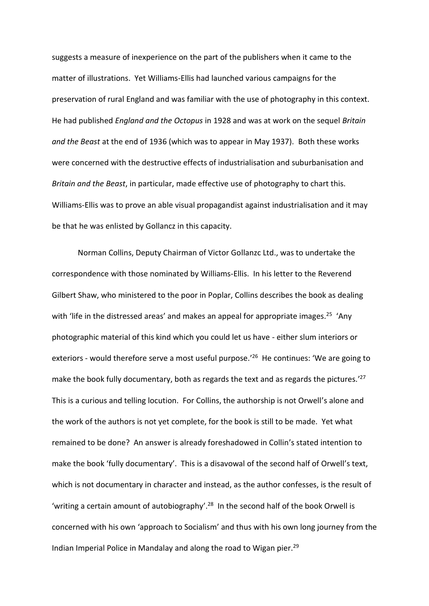suggests a measure of inexperience on the part of the publishers when it came to the matter of illustrations. Yet Williams-Ellis had launched various campaigns for the preservation of rural England and was familiar with the use of photography in this context. He had published *England and the Octopus* in 1928 and was at work on the sequel *Britain and the Beast* at the end of 1936 (which was to appear in May 1937). Both these works were concerned with the destructive effects of industrialisation and suburbanisation and *Britain and the Beast*, in particular, made effective use of photography to chart this. Williams-Ellis was to prove an able visual propagandist against industrialisation and it may be that he was enlisted by Gollancz in this capacity.

Norman Collins, Deputy Chairman of Victor Gollanzc Ltd., was to undertake the correspondence with those nominated by Williams-Ellis. In his letter to the Reverend Gilbert Shaw, who ministered to the poor in Poplar, Collins describes the book as dealing with 'life in the distressed areas' and makes an appeal for appropriate images.<sup>25</sup> 'Any photographic material of this kind which you could let us have - either slum interiors or exteriors - would therefore serve a most useful purpose.<sup>'26</sup> He continues: 'We are going to make the book fully documentary, both as regards the text and as regards the pictures.<sup>'27</sup> This is a curious and telling locution. For Collins, the authorship is not Orwell's alone and the work of the authors is not yet complete, for the book is still to be made. Yet what remained to be done? An answer is already foreshadowed in Collin's stated intention to make the book 'fully documentary'. This is a disavowal of the second half of Orwell's text, which is not documentary in character and instead, as the author confesses, is the result of 'writing a certain amount of autobiography'.<sup>28</sup> In the second half of the book Orwell is concerned with his own 'approach to Socialism' and thus with his own long journey from the Indian Imperial Police in Mandalay and along the road to Wigan pier.29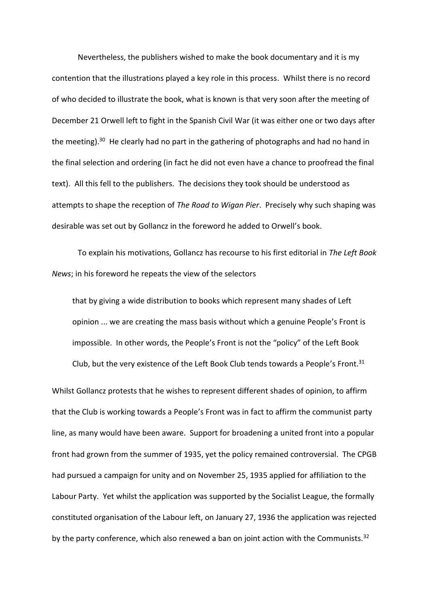Nevertheless, the publishers wished to make the book documentary and it is my contention that the illustrations played a key role in this process. Whilst there is no record of who decided to illustrate the book, what is known is that very soon after the meeting of December 21 Orwell left to fight in the Spanish Civil War (it was either one or two days after the meeting).<sup>30</sup> He clearly had no part in the gathering of photographs and had no hand in the final selection and ordering (in fact he did not even have a chance to proofread the final text). All this fell to the publishers. The decisions they took should be understood as attempts to shape the reception of *The Road to Wigan Pier*. Precisely why such shaping was desirable was set out by Gollancz in the foreword he added to Orwell's book.

To explain his motivations, Gollancz has recourse to his first editorial in *The Left Book News*; in his foreword he repeats the view of the selectors

that by giving a wide distribution to books which represent many shades of Left opinion ... we are creating the mass basis without which a genuine People's Front is impossible. In other words, the People's Front is not the "policy" of the Left Book Club, but the very existence of the Left Book Club tends towards a People's Front.<sup>31</sup>

Whilst Gollancz protests that he wishes to represent different shades of opinion, to affirm that the Club is working towards a People's Front was in fact to affirm the communist party line, as many would have been aware. Support for broadening a united front into a popular front had grown from the summer of 1935, yet the policy remained controversial. The CPGB had pursued a campaign for unity and on November 25, 1935 applied for affiliation to the Labour Party. Yet whilst the application was supported by the Socialist League, the formally constituted organisation of the Labour left, on January 27, 1936 the application was rejected by the party conference, which also renewed a ban on joint action with the Communists.<sup>32</sup>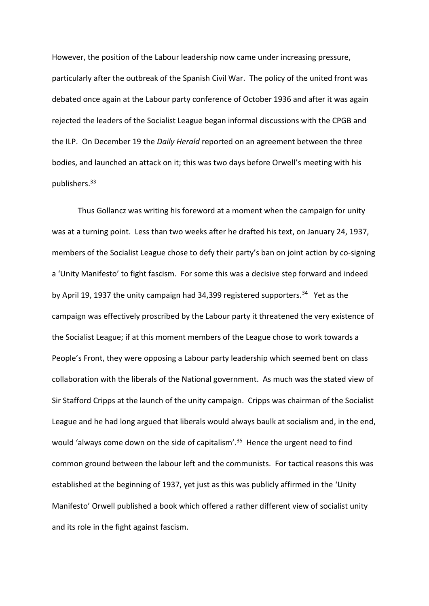However, the position of the Labour leadership now came under increasing pressure, particularly after the outbreak of the Spanish Civil War. The policy of the united front was debated once again at the Labour party conference of October 1936 and after it was again rejected the leaders of the Socialist League began informal discussions with the CPGB and the ILP. On December 19 the *Daily Herald* reported on an agreement between the three bodies, and launched an attack on it; this was two days before Orwell's meeting with his publishers. 33

Thus Gollancz was writing his foreword at a moment when the campaign for unity was at a turning point. Less than two weeks after he drafted his text, on January 24, 1937, members of the Socialist League chose to defy their party's ban on joint action by co-signing a 'Unity Manifesto' to fight fascism. For some this was a decisive step forward and indeed by April 19, 1937 the unity campaign had 34,399 registered supporters.<sup>34</sup> Yet as the campaign was effectively proscribed by the Labour party it threatened the very existence of the Socialist League; if at this moment members of the League chose to work towards a People's Front, they were opposing a Labour party leadership which seemed bent on class collaboration with the liberals of the National government. As much was the stated view of Sir Stafford Cripps at the launch of the unity campaign. Cripps was chairman of the Socialist League and he had long argued that liberals would always baulk at socialism and, in the end, would 'always come down on the side of capitalism'.<sup>35</sup> Hence the urgent need to find common ground between the labour left and the communists. For tactical reasons this was established at the beginning of 1937, yet just as this was publicly affirmed in the 'Unity Manifesto' Orwell published a book which offered a rather different view of socialist unity and its role in the fight against fascism.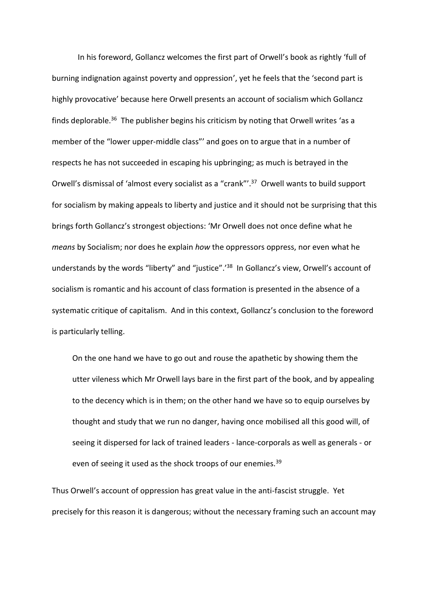In his foreword, Gollancz welcomes the first part of Orwell's book as rightly 'full of burning indignation against poverty and oppression', yet he feels that the 'second part is highly provocative' because here Orwell presents an account of socialism which Gollancz finds deplorable.<sup>36</sup> The publisher begins his criticism by noting that Orwell writes 'as a member of the "lower upper-middle class"' and goes on to argue that in a number of respects he has not succeeded in escaping his upbringing; as much is betrayed in the Orwell's dismissal of 'almost every socialist as a "crank"'.<sup>37</sup> Orwell wants to build support for socialism by making appeals to liberty and justice and it should not be surprising that this brings forth Gollancz's strongest objections: 'Mr Orwell does not once define what he *means* by Socialism; nor does he explain *how* the oppressors oppress, nor even what he understands by the words "liberty" and "justice".<sup>'38</sup> In Gollancz's view, Orwell's account of socialism is romantic and his account of class formation is presented in the absence of a systematic critique of capitalism. And in this context, Gollancz's conclusion to the foreword is particularly telling.

On the one hand we have to go out and rouse the apathetic by showing them the utter vileness which Mr Orwell lays bare in the first part of the book, and by appealing to the decency which is in them; on the other hand we have so to equip ourselves by thought and study that we run no danger, having once mobilised all this good will, of seeing it dispersed for lack of trained leaders - lance-corporals as well as generals - or even of seeing it used as the shock troops of our enemies.<sup>39</sup>

Thus Orwell's account of oppression has great value in the anti-fascist struggle. Yet precisely for this reason it is dangerous; without the necessary framing such an account may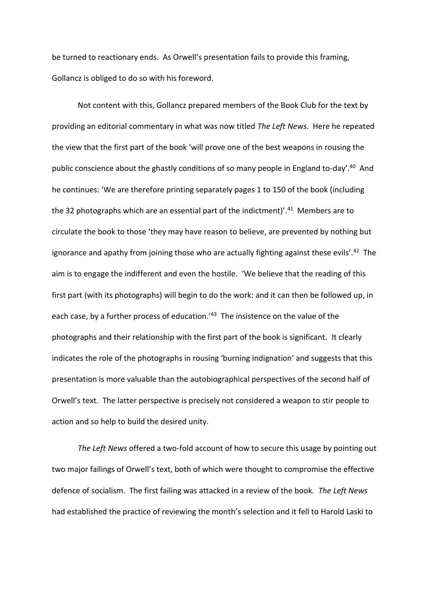be turned to reactionary ends. As Orwell's presentation fails to provide this framing, Gollancz is obliged to do so with his foreword.

Not content with this, Gollancz prepared members of the Book Club for the text by providing an editorial commentary in what was now titled *The Left News*. Here he repeated the view that the first part of the book 'will prove one of the best weapons in rousing the public conscience about the ghastly conditions of so many people in England to-day'.<sup>40</sup> And he continues: 'We are therefore printing separately pages 1 to 150 of the book (including the 32 photographs which are an essential part of the indictment)'.<sup>41</sup> Members are to circulate the book to those 'they may have reason to believe, are prevented by nothing but ignorance and apathy from joining those who are actually fighting against these evils'.<sup>42</sup> The aim is to engage the indifferent and even the hostile. 'We believe that the reading of this first part (with its photographs) will begin to do the work: and it can then be followed up, in each case, by a further process of education.<sup>'43</sup> The insistence on the value of the photographs and their relationship with the first part of the book is significant. It clearly indicates the role of the photographs in rousing 'burning indignation' and suggests that this presentation is more valuable than the autobiographical perspectives of the second half of Orwell's text. The latter perspective is precisely not considered a weapon to stir people to action and so help to build the desired unity.

*The Left News* offered a two-fold account of how to secure this usage by pointing out two major failings of Orwell's text, both of which were thought to compromise the effective defence of socialism. The first failing was attacked in a review of the book. *The Left News*  had established the practice of reviewing the month's selection and it fell to Harold Laski to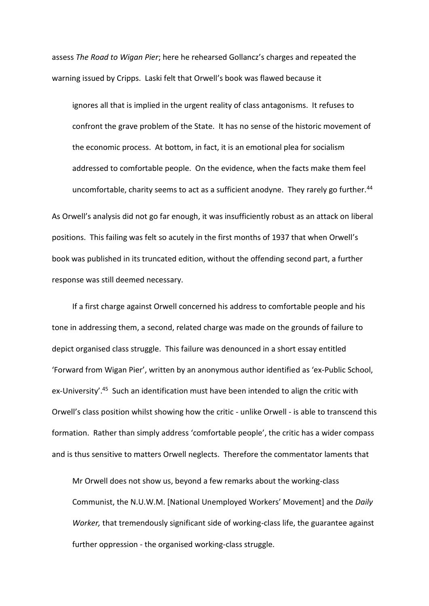assess *The Road to Wigan Pier*; here he rehearsed Gollancz's charges and repeated the warning issued by Cripps. Laski felt that Orwell's book was flawed because it

ignores all that is implied in the urgent reality of class antagonisms. It refuses to confront the grave problem of the State. It has no sense of the historic movement of the economic process. At bottom, in fact, it is an emotional plea for socialism addressed to comfortable people. On the evidence, when the facts make them feel uncomfortable, charity seems to act as a sufficient anodyne. They rarely go further.<sup>44</sup>

As Orwell's analysis did not go far enough, it was insufficiently robust as an attack on liberal positions. This failing was felt so acutely in the first months of 1937 that when Orwell's book was published in its truncated edition, without the offending second part, a further response was still deemed necessary.

If a first charge against Orwell concerned his address to comfortable people and his tone in addressing them, a second, related charge was made on the grounds of failure to depict organised class struggle. This failure was denounced in a short essay entitled 'Forward from Wigan Pier', written by an anonymous author identified as 'ex-Public School, ex-University'.<sup>45</sup> Such an identification must have been intended to align the critic with Orwell's class position whilst showing how the critic - unlike Orwell - is able to transcend this formation. Rather than simply address 'comfortable people', the critic has a wider compass and is thus sensitive to matters Orwell neglects. Therefore the commentator laments that

Mr Orwell does not show us, beyond a few remarks about the working-class Communist, the N.U.W.M. [National Unemployed Workers' Movement] and the *Daily Worker,* that tremendously significant side of working-class life, the guarantee against further oppression - the organised working-class struggle.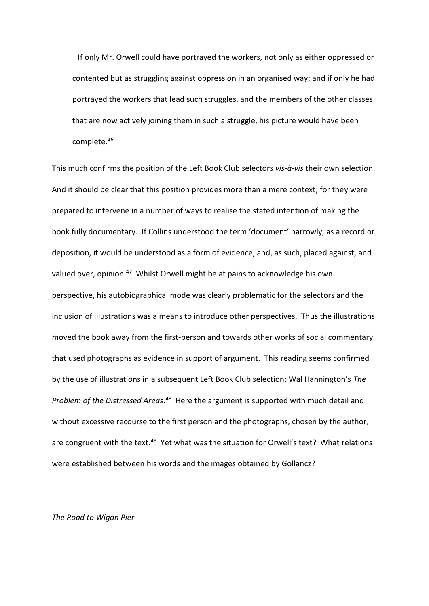If only Mr. Orwell could have portrayed the workers, not only as either oppressed or contented but as struggling against oppression in an organised way; and if only he had portrayed the workers that lead such struggles, and the members of the other classes that are now actively joining them in such a struggle, his picture would have been complete.<sup>46</sup>

This much confirms the position of the Left Book Club selectors *vis-à-vis* their own selection. And it should be clear that this position provides more than a mere context; for they were prepared to intervene in a number of ways to realise the stated intention of making the book fully documentary. If Collins understood the term 'document' narrowly, as a record or deposition, it would be understood as a form of evidence, and, as such, placed against, and valued over, opinion.<sup>47</sup> Whilst Orwell might be at pains to acknowledge his own perspective, his autobiographical mode was clearly problematic for the selectors and the inclusion of illustrations was a means to introduce other perspectives. Thus the illustrations moved the book away from the first-person and towards other works of social commentary that used photographs as evidence in support of argument. This reading seems confirmed by the use of illustrations in a subsequent Left Book Club selection: Wal Hannington's *The*  Problem of the Distressed Areas.<sup>48</sup> Here the argument is supported with much detail and without excessive recourse to the first person and the photographs, chosen by the author, are congruent with the text.<sup>49</sup> Yet what was the situation for Orwell's text? What relations were established between his words and the images obtained by Gollancz?

### *The Road to Wigan Pier*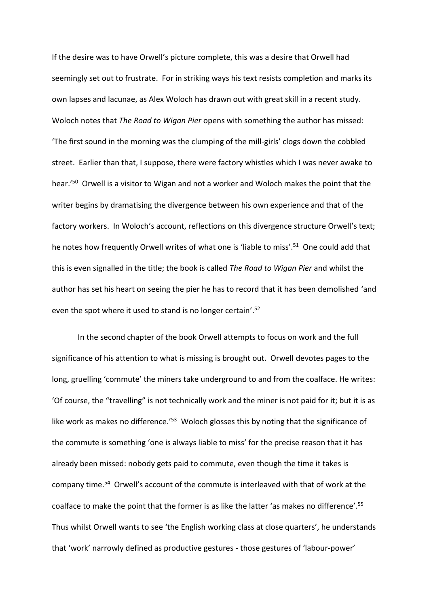If the desire was to have Orwell's picture complete, this was a desire that Orwell had seemingly set out to frustrate. For in striking ways his text resists completion and marks its own lapses and lacunae, as Alex Woloch has drawn out with great skill in a recent study. Woloch notes that *The Road to Wigan Pier* opens with something the author has missed: 'The first sound in the morning was the clumping of the mill-girls' clogs down the cobbled street. Earlier than that, I suppose, there were factory whistles which I was never awake to hear.<sup>'50</sup> Orwell is a visitor to Wigan and not a worker and Woloch makes the point that the writer begins by dramatising the divergence between his own experience and that of the factory workers. In Woloch's account, reflections on this divergence structure Orwell's text; he notes how frequently Orwell writes of what one is 'liable to miss'.<sup>51</sup> One could add that this is even signalled in the title; the book is called *The Road to Wigan Pier* and whilst the author has set his heart on seeing the pier he has to record that it has been demolished 'and even the spot where it used to stand is no longer certain'. 52

In the second chapter of the book Orwell attempts to focus on work and the full significance of his attention to what is missing is brought out. Orwell devotes pages to the long, gruelling 'commute' the miners take underground to and from the coalface. He writes: 'Of course, the "travelling" is not technically work and the miner is not paid for it; but it is as like work as makes no difference.<sup>'53</sup> Woloch glosses this by noting that the significance of the commute is something 'one is always liable to miss' for the precise reason that it has already been missed: nobody gets paid to commute, even though the time it takes is company time.<sup>54</sup> Orwell's account of the commute is interleaved with that of work at the coalface to make the point that the former is as like the latter 'as makes no difference'. 55 Thus whilst Orwell wants to see 'the English working class at close quarters', he understands that 'work' narrowly defined as productive gestures - those gestures of 'labour-power'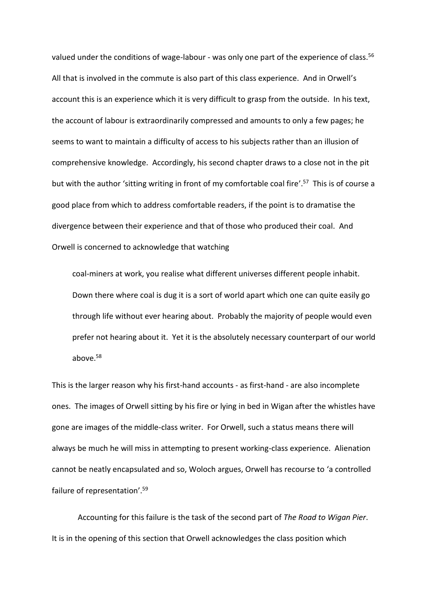valued under the conditions of wage-labour - was only one part of the experience of class.<sup>56</sup> All that is involved in the commute is also part of this class experience. And in Orwell's account this is an experience which it is very difficult to grasp from the outside. In his text, the account of labour is extraordinarily compressed and amounts to only a few pages; he seems to want to maintain a difficulty of access to his subjects rather than an illusion of comprehensive knowledge. Accordingly, his second chapter draws to a close not in the pit but with the author 'sitting writing in front of my comfortable coal fire'.<sup>57</sup> This is of course a good place from which to address comfortable readers, if the point is to dramatise the divergence between their experience and that of those who produced their coal. And Orwell is concerned to acknowledge that watching

coal-miners at work, you realise what different universes different people inhabit. Down there where coal is dug it is a sort of world apart which one can quite easily go through life without ever hearing about. Probably the majority of people would even prefer not hearing about it. Yet it is the absolutely necessary counterpart of our world above.<sup>58</sup>

This is the larger reason why his first-hand accounts - as first-hand - are also incomplete ones. The images of Orwell sitting by his fire or lying in bed in Wigan after the whistles have gone are images of the middle-class writer. For Orwell, such a status means there will always be much he will miss in attempting to present working-class experience. Alienation cannot be neatly encapsulated and so, Woloch argues, Orwell has recourse to 'a controlled failure of representation'. 59

Accounting for this failure is the task of the second part of *The Road to Wigan Pier*. It is in the opening of this section that Orwell acknowledges the class position which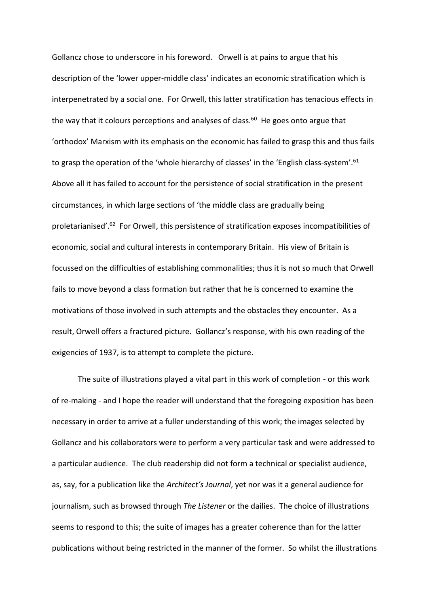Gollancz chose to underscore in his foreword. Orwell is at pains to argue that his description of the 'lower upper-middle class' indicates an economic stratification which is interpenetrated by a social one. For Orwell, this latter stratification has tenacious effects in the way that it colours perceptions and analyses of class.<sup>60</sup> He goes onto argue that 'orthodox' Marxism with its emphasis on the economic has failed to grasp this and thus fails to grasp the operation of the 'whole hierarchy of classes' in the 'English class-system'.<sup>61</sup> Above all it has failed to account for the persistence of social stratification in the present circumstances, in which large sections of 'the middle class are gradually being proletarianised'.<sup>62</sup> For Orwell, this persistence of stratification exposes incompatibilities of economic, social and cultural interests in contemporary Britain. His view of Britain is focussed on the difficulties of establishing commonalities; thus it is not so much that Orwell fails to move beyond a class formation but rather that he is concerned to examine the motivations of those involved in such attempts and the obstacles they encounter. As a result, Orwell offers a fractured picture. Gollancz's response, with his own reading of the exigencies of 1937, is to attempt to complete the picture.

The suite of illustrations played a vital part in this work of completion - or this work of re-making - and I hope the reader will understand that the foregoing exposition has been necessary in order to arrive at a fuller understanding of this work; the images selected by Gollancz and his collaborators were to perform a very particular task and were addressed to a particular audience. The club readership did not form a technical or specialist audience, as, say, for a publication like the *Architect's Journal*, yet nor was it a general audience for journalism, such as browsed through *The Listener* or the dailies. The choice of illustrations seems to respond to this; the suite of images has a greater coherence than for the latter publications without being restricted in the manner of the former. So whilst the illustrations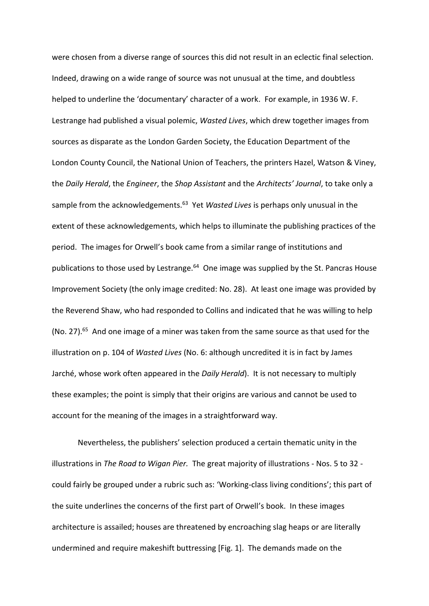were chosen from a diverse range of sources this did not result in an eclectic final selection. Indeed, drawing on a wide range of source was not unusual at the time, and doubtless helped to underline the 'documentary' character of a work. For example, in 1936 W. F. Lestrange had published a visual polemic, *Wasted Lives*, which drew together images from sources as disparate as the London Garden Society, the Education Department of the London County Council, the National Union of Teachers, the printers Hazel, Watson & Viney, the *Daily Herald*, the *Engineer*, the *Shop Assistant* and the *Architects' Journal*, to take only a sample from the acknowledgements.<sup>63</sup> Yet *Wasted Lives* is perhaps only unusual in the extent of these acknowledgements, which helps to illuminate the publishing practices of the period. The images for Orwell's book came from a similar range of institutions and publications to those used by Lestrange.<sup>64</sup> One image was supplied by the St. Pancras House Improvement Society (the only image credited: No. 28). At least one image was provided by the Reverend Shaw, who had responded to Collins and indicated that he was willing to help (No. 27).<sup>65</sup> And one image of a miner was taken from the same source as that used for the illustration on p. 104 of *Wasted Lives* (No. 6: although uncredited it is in fact by James Jarché, whose work often appeared in the *Daily Herald*). It is not necessary to multiply these examples; the point is simply that their origins are various and cannot be used to account for the meaning of the images in a straightforward way.

Nevertheless, the publishers' selection produced a certain thematic unity in the illustrations in *The Road to Wigan Pier.* The great majority of illustrations - Nos. 5 to 32 could fairly be grouped under a rubric such as: 'Working-class living conditions'; this part of the suite underlines the concerns of the first part of Orwell's book. In these images architecture is assailed; houses are threatened by encroaching slag heaps or are literally undermined and require makeshift buttressing [Fig. 1]. The demands made on the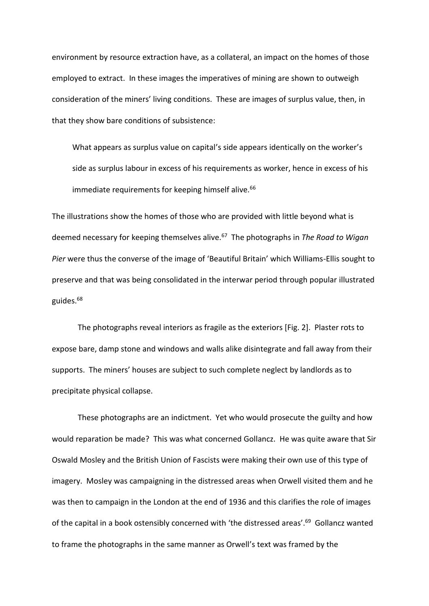environment by resource extraction have, as a collateral, an impact on the homes of those employed to extract. In these images the imperatives of mining are shown to outweigh consideration of the miners' living conditions. These are images of surplus value, then, in that they show bare conditions of subsistence:

What appears as surplus value on capital's side appears identically on the worker's side as surplus labour in excess of his requirements as worker, hence in excess of his immediate requirements for keeping himself alive.<sup>66</sup>

The illustrations show the homes of those who are provided with little beyond what is deemed necessary for keeping themselves alive.<sup>67</sup> The photographs in *The Road to Wigan Pier* were thus the converse of the image of 'Beautiful Britain' which Williams-Ellis sought to preserve and that was being consolidated in the interwar period through popular illustrated guides.<sup>68</sup>

The photographs reveal interiors as fragile as the exteriors [Fig. 2]. Plaster rots to expose bare, damp stone and windows and walls alike disintegrate and fall away from their supports. The miners' houses are subject to such complete neglect by landlords as to precipitate physical collapse.

These photographs are an indictment. Yet who would prosecute the guilty and how would reparation be made? This was what concerned Gollancz. He was quite aware that Sir Oswald Mosley and the British Union of Fascists were making their own use of this type of imagery. Mosley was campaigning in the distressed areas when Orwell visited them and he was then to campaign in the London at the end of 1936 and this clarifies the role of images of the capital in a book ostensibly concerned with 'the distressed areas'.<sup>69</sup> Gollancz wanted to frame the photographs in the same manner as Orwell's text was framed by the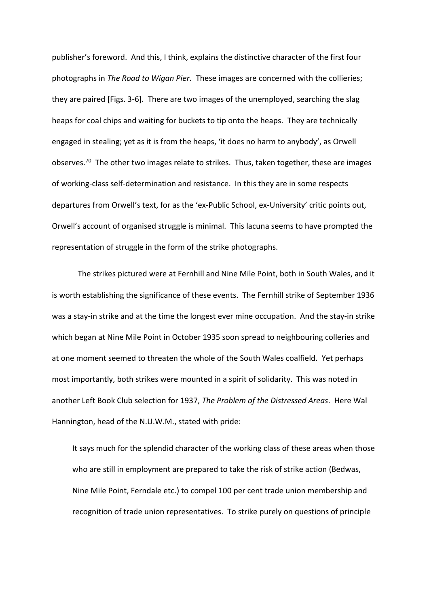publisher's foreword. And this, I think, explains the distinctive character of the first four photographs in *The Road to Wigan Pier.* These images are concerned with the collieries; they are paired [Figs. 3-6]. There are two images of the unemployed, searching the slag heaps for coal chips and waiting for buckets to tip onto the heaps. They are technically engaged in stealing; yet as it is from the heaps, 'it does no harm to anybody', as Orwell observes.<sup>70</sup> The other two images relate to strikes. Thus, taken together, these are images of working-class self-determination and resistance. In this they are in some respects departures from Orwell's text, for as the 'ex-Public School, ex-University' critic points out, Orwell's account of organised struggle is minimal. This lacuna seems to have prompted the representation of struggle in the form of the strike photographs.

The strikes pictured were at Fernhill and Nine Mile Point, both in South Wales, and it is worth establishing the significance of these events. The Fernhill strike of September 1936 was a stay-in strike and at the time the longest ever mine occupation. And the stay-in strike which began at Nine Mile Point in October 1935 soon spread to neighbouring colleries and at one moment seemed to threaten the whole of the South Wales coalfield. Yet perhaps most importantly, both strikes were mounted in a spirit of solidarity. This was noted in another Left Book Club selection for 1937, *The Problem of the Distressed Areas*. Here Wal Hannington, head of the N.U.W.M., stated with pride:

It says much for the splendid character of the working class of these areas when those who are still in employment are prepared to take the risk of strike action (Bedwas, Nine Mile Point, Ferndale etc.) to compel 100 per cent trade union membership and recognition of trade union representatives. To strike purely on questions of principle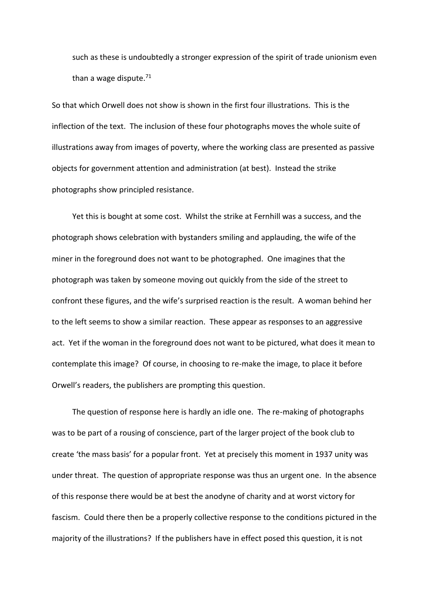such as these is undoubtedly a stronger expression of the spirit of trade unionism even than a wage dispute. $71$ 

So that which Orwell does not show is shown in the first four illustrations. This is the inflection of the text. The inclusion of these four photographs moves the whole suite of illustrations away from images of poverty, where the working class are presented as passive objects for government attention and administration (at best). Instead the strike photographs show principled resistance.

Yet this is bought at some cost. Whilst the strike at Fernhill was a success, and the photograph shows celebration with bystanders smiling and applauding, the wife of the miner in the foreground does not want to be photographed. One imagines that the photograph was taken by someone moving out quickly from the side of the street to confront these figures, and the wife's surprised reaction is the result. A woman behind her to the left seems to show a similar reaction. These appear as responses to an aggressive act. Yet if the woman in the foreground does not want to be pictured, what does it mean to contemplate this image? Of course, in choosing to re-make the image, to place it before Orwell's readers, the publishers are prompting this question.

The question of response here is hardly an idle one. The re-making of photographs was to be part of a rousing of conscience, part of the larger project of the book club to create 'the mass basis' for a popular front. Yet at precisely this moment in 1937 unity was under threat. The question of appropriate response was thus an urgent one. In the absence of this response there would be at best the anodyne of charity and at worst victory for fascism. Could there then be a properly collective response to the conditions pictured in the majority of the illustrations? If the publishers have in effect posed this question, it is not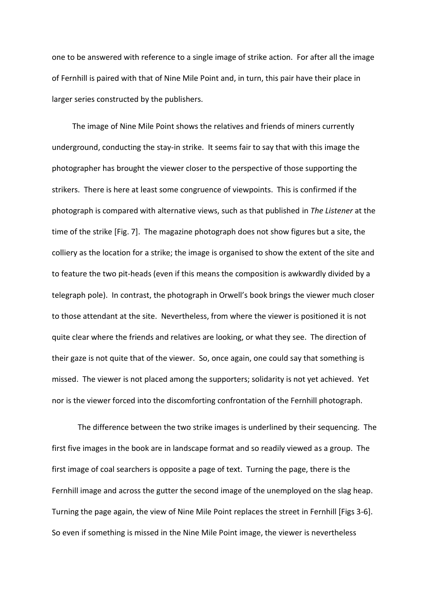one to be answered with reference to a single image of strike action. For after all the image of Fernhill is paired with that of Nine Mile Point and, in turn, this pair have their place in larger series constructed by the publishers.

The image of Nine Mile Point shows the relatives and friends of miners currently underground, conducting the stay-in strike. It seems fair to say that with this image the photographer has brought the viewer closer to the perspective of those supporting the strikers. There is here at least some congruence of viewpoints. This is confirmed if the photograph is compared with alternative views, such as that published in *The Listener* at the time of the strike [Fig. 7]. The magazine photograph does not show figures but a site, the colliery as the location for a strike; the image is organised to show the extent of the site and to feature the two pit-heads (even if this means the composition is awkwardly divided by a telegraph pole). In contrast, the photograph in Orwell's book brings the viewer much closer to those attendant at the site. Nevertheless, from where the viewer is positioned it is not quite clear where the friends and relatives are looking, or what they see. The direction of their gaze is not quite that of the viewer. So, once again, one could say that something is missed. The viewer is not placed among the supporters; solidarity is not yet achieved. Yet nor is the viewer forced into the discomforting confrontation of the Fernhill photograph.

The difference between the two strike images is underlined by their sequencing. The first five images in the book are in landscape format and so readily viewed as a group. The first image of coal searchers is opposite a page of text. Turning the page, there is the Fernhill image and across the gutter the second image of the unemployed on the slag heap. Turning the page again, the view of Nine Mile Point replaces the street in Fernhill [Figs 3-6]. So even if something is missed in the Nine Mile Point image, the viewer is nevertheless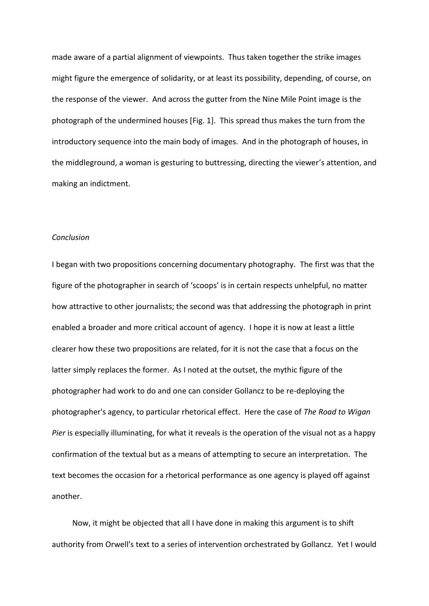made aware of a partial alignment of viewpoints. Thus taken together the strike images might figure the emergence of solidarity, or at least its possibility, depending, of course, on the response of the viewer.And across the gutter from the Nine Mile Point image is the photograph of the undermined houses [Fig. 1]. This spread thus makes the turn from the introductory sequence into the main body of images. And in the photograph of houses, in the middleground, a woman is gesturing to buttressing, directing the viewer's attention, and making an indictment.

### *Conclusion*

I began with two propositions concerning documentary photography. The first was that the figure of the photographer in search of 'scoops' is in certain respects unhelpful, no matter how attractive to other journalists; the second was that addressing the photograph in print enabled a broader and more critical account of agency. I hope it is now at least a little clearer how these two propositions are related, for it is not the case that a focus on the latter simply replaces the former. As I noted at the outset, the mythic figure of the photographer had work to do and one can consider Gollancz to be re-deploying the photographer's agency, to particular rhetorical effect. Here the case of *The Road to Wigan Pier* is especially illuminating, for what it reveals is the operation of the visual not as a happy confirmation of the textual but as a means of attempting to secure an interpretation. The text becomes the occasion for a rhetorical performance as one agency is played off against another.

Now, it might be objected that all I have done in making this argument is to shift authority from Orwell's text to a series of intervention orchestrated by Gollancz. Yet I would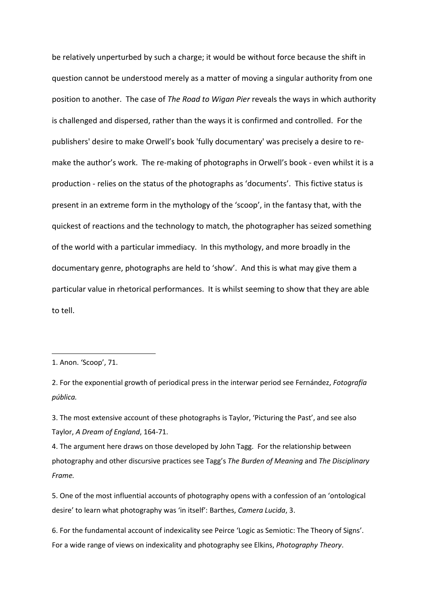be relatively unperturbed by such a charge; it would be without force because the shift in question cannot be understood merely as a matter of moving a singular authority from one position to another. The case of *The Road to Wigan Pier* reveals the ways in which authority is challenged and dispersed, rather than the ways it is confirmed and controlled. For the publishers' desire to make Orwell's book 'fully documentary' was precisely a desire to remake the author's work. The re-making of photographs in Orwell's book - even whilst it is a production - relies on the status of the photographs as 'documents'. This fictive status is present in an extreme form in the mythology of the 'scoop', in the fantasy that, with the quickest of reactions and the technology to match, the photographer has seized something of the world with a particular immediacy. In this mythology, and more broadly in the documentary genre, photographs are held to 'show'. And this is what may give them a particular value in rhetorical performances. It is whilst seeming to show that they are able to tell.

**.** 

<sup>1.</sup> Anon. 'Scoop', 71.

<sup>2.</sup> For the exponential growth of periodical press in the interwar period see Fernández, *Fotografía pública.*

<sup>3.</sup> The most extensive account of these photographs is Taylor, 'Picturing the Past', and see also Taylor, *A Dream of England*, 164-71.

<sup>4.</sup> The argument here draws on those developed by John Tagg. For the relationship between photography and other discursive practices see Tagg's *The Burden of Meaning* and *The Disciplinary Frame.*

<sup>5.</sup> One of the most influential accounts of photography opens with a confession of an 'ontological desire' to learn what photography was 'in itself': Barthes, *Camera Lucida*, 3.

<sup>6.</sup> For the fundamental account of indexicality see Peirce 'Logic as Semiotic: The Theory of Signs'. For a wide range of views on indexicality and photography see Elkins, *Photography Theory*.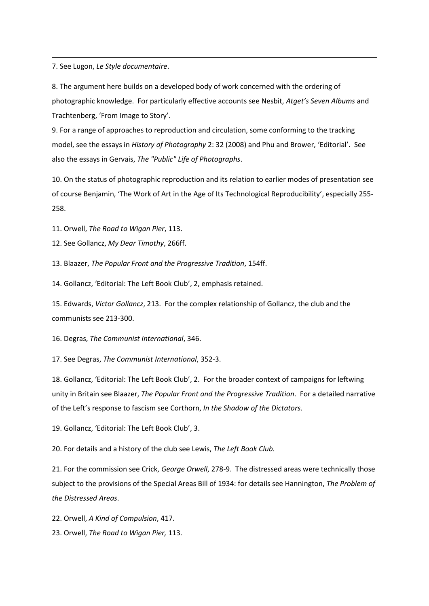7. See Lugon, *Le Style documentaire*.

**.** 

8. The argument here builds on a developed body of work concerned with the ordering of photographic knowledge. For particularly effective accounts see Nesbit, *Atget's Seven Albums* and Trachtenberg, 'From Image to Story'.

9. For a range of approaches to reproduction and circulation, some conforming to the tracking model, see the essays in *History of Photography* 2: 32 (2008) and Phu and Brower, 'Editorial'. See also the essays in Gervais, *The "Public" Life of Photographs*.

10. On the status of photographic reproduction and its relation to earlier modes of presentation see of course Benjamin, 'The Work of Art in the Age of Its Technological Reproducibility', especially 255- 258.

11. Orwell, *The Road to Wigan Pier*, 113.

12. See Gollancz, *My Dear Timothy*, 266ff.

13. Blaazer, *The Popular Front and the Progressive Tradition*, 154ff.

14. Gollancz, 'Editorial: The Left Book Club', 2, emphasis retained.

15. Edwards, *Victor Gollancz*, 213. For the complex relationship of Gollancz, the club and the communists see 213-300.

16. Degras, *The Communist International*, 346.

17. See Degras, *The Communist International*, 352-3.

18. Gollancz, 'Editorial: The Left Book Club', 2. For the broader context of campaigns for leftwing unity in Britain see Blaazer, *The Popular Front and the Progressive Tradition*. For a detailed narrative of the Left's response to fascism see Corthorn, *In the Shadow of the Dictators*.

19. Gollancz, 'Editorial: The Left Book Club', 3.

20. For details and a history of the club see Lewis, *The Left Book Club.*

21. For the commission see Crick, *George Orwell*, 278-9. The distressed areas were technically those subject to the provisions of the Special Areas Bill of 1934: for details see Hannington, *The Problem of the Distressed Areas*.

22. Orwell, *A Kind of Compulsion*, 417.

23. Orwell, *The Road to Wigan Pier,* 113.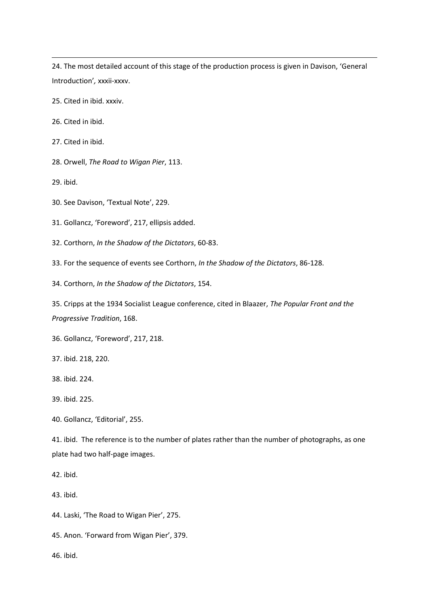24. The most detailed account of this stage of the production process is given in Davison, 'General Introduction'*,* xxxii-xxxv.

- 25. Cited in ibid. xxxiv.
- 26. Cited in ibid.
- 27. Cited in ibid.
- 28. Orwell, *The Road to Wigan Pier*, 113.
- 29. ibid.

**.** 

- 30. See Davison, 'Textual Note', 229.
- 31. Gollancz, 'Foreword', 217, ellipsis added.
- 32. Corthorn, *In the Shadow of the Dictators*, 60-83.
- 33. For the sequence of events see Corthorn, *In the Shadow of the Dictators*, 86-128.
- 34. Corthorn, *In the Shadow of the Dictators*, 154.
- 35. Cripps at the 1934 Socialist League conference, cited in Blaazer, *The Popular Front and the Progressive Tradition*, 168.
- 36. Gollancz, 'Foreword', 217, 218.
- 37. ibid. 218, 220.
- 38. ibid. 224.
- 39. ibid. 225.
- 40. Gollancz, 'Editorial', 255.
- 41. ibid. The reference is to the number of plates rather than the number of photographs, as one plate had two half-page images.
- 42. ibid.
- 43. ibid.
- 44. Laski, 'The Road to Wigan Pier', 275.
- 45. Anon. 'Forward from Wigan Pier', 379.
- 46. ibid.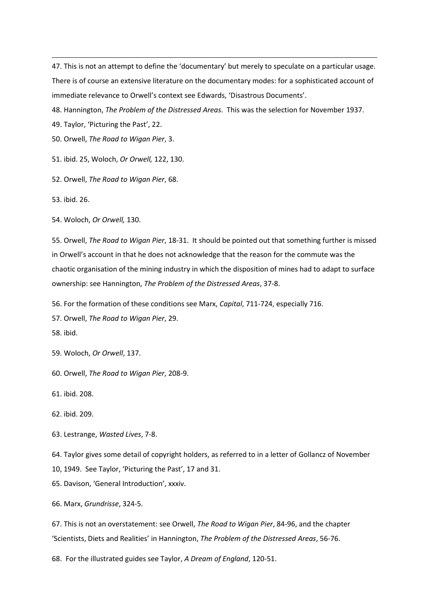47. This is not an attempt to define the 'documentary' but merely to speculate on a particular usage. There is of course an extensive literature on the documentary modes: for a sophisticated account of immediate relevance to Orwell's context see Edwards, 'Disastrous Documents'.

48. Hannington, *The Problem of the Distressed Areas*. This was the selection for November 1937.

49. Taylor, 'Picturing the Past', 22.

50. Orwell, *The Road to Wigan Pier*, 3.

51. ibid. 25, Woloch, *Or Orwell,* 122, 130.

52. Orwell, *The Road to Wigan Pier*, 68.

53. ibid. 26.

**.** 

54. Woloch, *Or Orwell,* 130.

55. Orwell, *The Road to Wigan Pier*, 18-31. It should be pointed out that something further is missed in Orwell's account in that he does not acknowledge that the reason for the commute was the chaotic organisation of the mining industry in which the disposition of mines had to adapt to surface ownership: see Hannington, *The Problem of the Distressed Areas*, 37-8.

56. For the formation of these conditions see Marx, *Capital*, 711-724, especially 716.

57. Orwell, *The Road to Wigan Pier*, 29.

58. ibid.

59. Woloch, *Or Orwell*, 137.

60. Orwell, *The Road to Wigan Pier*, 208-9.

61. ibid. 208.

62. ibid. 209.

63. Lestrange, *Wasted Lives*, 7-8.

64. Taylor gives some detail of copyright holders, as referred to in a letter of Gollancz of November

10, 1949. See Taylor, 'Picturing the Past', 17 and 31.

65. Davison, 'General Introduction', xxxiv.

66. Marx, *Grundrisse*, 324-5.

67. This is not an overstatement: see Orwell, *The Road to Wigan Pier*, 84-96, and the chapter 'Scientists, Diets and Realities' in Hannington, *The Problem of the Distressed Areas*, 56-76.

68. For the illustrated guides see Taylor, *A Dream of England*, 120-51.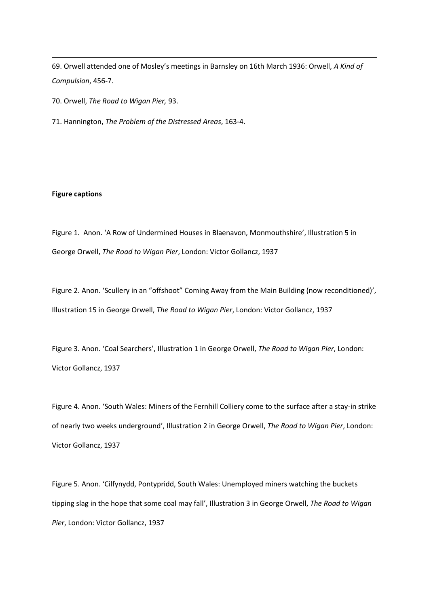69. Orwell attended one of Mosley's meetings in Barnsley on 16th March 1936: Orwell, *A Kind of Compulsion*, 456-7.

70. Orwell, *The Road to Wigan Pier,* 93.

71. Hannington, *The Problem of the Distressed Areas*, 163-4.

### **Figure captions**

**.** 

Figure 1. Anon. 'A Row of Undermined Houses in Blaenavon, Monmouthshire', Illustration 5 in George Orwell, *The Road to Wigan Pier*, London: Victor Gollancz, 1937

Figure 2. Anon. 'Scullery in an "offshoot" Coming Away from the Main Building (now reconditioned)', Illustration 15 in George Orwell, *The Road to Wigan Pier*, London: Victor Gollancz, 1937

Figure 3. Anon. 'Coal Searchers', Illustration 1 in George Orwell, *The Road to Wigan Pier*, London: Victor Gollancz, 1937

Figure 4. Anon. 'South Wales: Miners of the Fernhill Colliery come to the surface after a stay-in strike of nearly two weeks underground', Illustration 2 in George Orwell, *The Road to Wigan Pier*, London: Victor Gollancz, 1937

Figure 5. Anon. 'Cilfynydd, Pontypridd, South Wales: Unemployed miners watching the buckets tipping slag in the hope that some coal may fall', Illustration 3 in George Orwell, *The Road to Wigan Pier*, London: Victor Gollancz, 1937